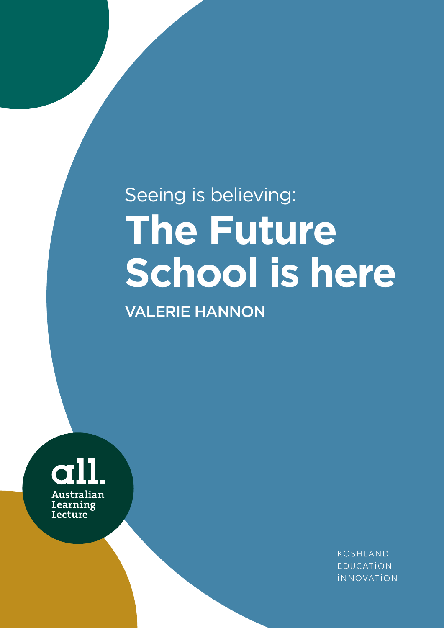# Seeing is believing: **The Future School is here**

VALERIE HANNON



KOSHLAND **EDUCATION INNOVATION**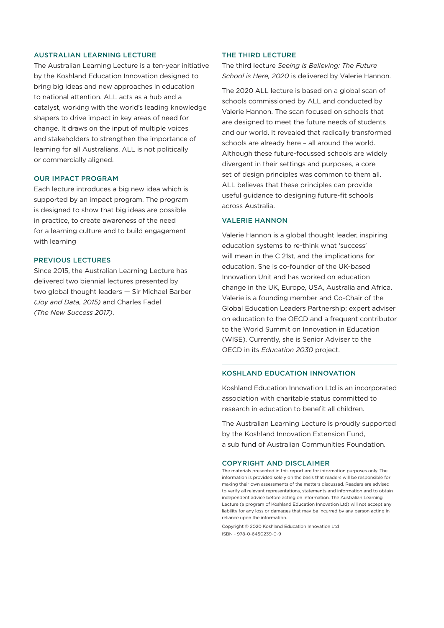#### AUSTRALIAN LEARNING LECTURE

The Australian Learning Lecture is a ten-year initiative by the Koshland Education Innovation designed to bring big ideas and new approaches in education to national attention. ALL acts as a hub and a catalyst, working with the world's leading knowledge shapers to drive impact in key areas of need for change. It draws on the input of multiple voices and stakeholders to strengthen the importance of learning for all Australians. ALL is not politically or commercially aligned.

#### OUR IMPACT PROGRAM

Each lecture introduces a big new idea which is supported by an impact program. The program is designed to show that big ideas are possible in practice, to create awareness of the need for a learning culture and to build engagement with learning

#### PREVIOUS LECTURES

Since 2015, the Australian Learning Lecture has delivered two biennial lectures presented by two global thought leaders — Sir Michael Barber *(Joy and Data, 2015)* and Charles Fadel *(The New Success 2017)*.

#### THE THIRD LECTURE

The third lecture *Seeing is Believing: The Future School is Here, 2020* is delivered by Valerie Hannon.

The 2020 ALL lecture is based on a global scan of schools commissioned by ALL and conducted by Valerie Hannon. The scan focused on schools that are designed to meet the future needs of students and our world. It revealed that radically transformed schools are already here – all around the world. Although these future-focussed schools are widely divergent in their settings and purposes, a core set of design principles was common to them all. ALL believes that these principles can provide useful guidance to designing future-fit schools across Australia.

#### VALERIE HANNON

Valerie Hannon is a global thought leader, inspiring education systems to re-think what 'success' will mean in the C 21st, and the implications for education. She is co-founder of the UK-based Innovation Unit and has worked on education change in the UK, Europe, USA, Australia and Africa. Valerie is a founding member and Co-Chair of the Global Education Leaders Partnership; expert adviser on education to the OECD and a frequent contributor to the World Summit on Innovation in Education (WISE). Currently, she is Senior Adviser to the OECD in its *Education 2030* project.

#### KOSHLAND EDUCATION INNOVATION

Koshland Education Innovation Ltd is an incorporated association with charitable status committed to research in education to benefit all children.

The Australian Learning Lecture is proudly supported by the Koshland Innovation Extension Fund, a sub fund of Australian Communities Foundation.

#### COPYRIGHT AND DISCLAIMER

The materials presented in this report are for information purposes only. The information is provided solely on the basis that readers will be responsible for making their own assessments of the matters discussed. Readers are advised to verify all relevant representations, statements and information and to obtain independent advice before acting on information. The Australian Learning Lecture (a program of Koshland Education Innovation Ltd) will not accept any liability for any loss or damages that may be incurred by any person acting in reliance upon the information.

Copyright © 2020 Koshland Education Innovation Ltd ISBN - 978-0-6450239-0-9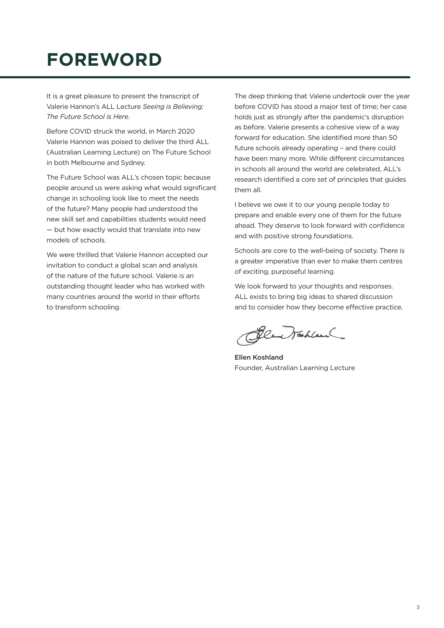# **FOREWORD**

It is a great pleasure to present the transcript of Valerie Hannon's ALL Lecture *Seeing is Believing: The Future School is Here*.

Before COVID struck the world, in March 2020 Valerie Hannon was poised to deliver the third ALL (Australian Learning Lecture) on The Future School in both Melbourne and Sydney.

The Future School was ALL's chosen topic because people around us were asking what would significant change in schooling look like to meet the needs of the future? Many people had understood the new skill set and capabilities students would need — but how exactly would that translate into new models of schools.

We were thrilled that Valerie Hannon accepted our invitation to conduct a global scan and analysis of the nature of the future school. Valerie is an outstanding thought leader who has worked with many countries around the world in their efforts to transform schooling.

The deep thinking that Valerie undertook over the year before COVID has stood a major test of time; her case holds just as strongly after the pandemic's disruption as before. Valerie presents a cohesive view of a way forward for education. She identified more than 50 future schools already operating – and there could have been many more. While different circumstances in schools all around the world are celebrated, ALL's research identified a core set of principles that guides them all.

I believe we owe it to our young people today to prepare and enable every one of them for the future ahead. They deserve to look forward with confidence and with positive strong foundations.

Schools are core to the well-being of society. There is a greater imperative than ever to make them centres of exciting, purposeful learning.

We look forward to your thoughts and responses. ALL exists to bring big ideas to shared discussion and to consider how they become effective practice.

Blew Takland

Ellen Koshland Founder, Australian Learning Lecture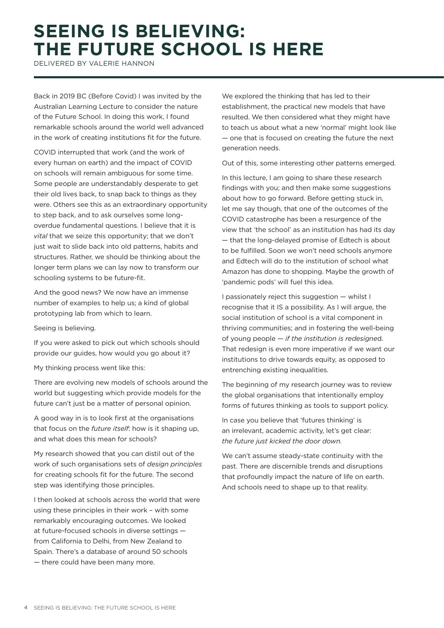# **SEEING IS BELIEVING: THE FUTURE SCHOOL IS HERE**

DELIVERED BY VALERIE HANNON

Back in 2019 BC (Before Covid) I was invited by the Australian Learning Lecture to consider the nature of the Future School. In doing this work, I found remarkable schools around the world well advanced in the work of creating institutions fit for the future.

COVID interrupted that work (and the work of every human on earth) and the impact of COVID on schools will remain ambiguous for some time. Some people are understandably desperate to get their old lives back, to snap back to things as they were. Others see this as an extraordinary opportunity to step back, and to ask ourselves some longoverdue fundamental questions. I believe that it is *vital* that we seize this opportunity; that we don't just wait to slide back into old patterns, habits and structures. Rather, we should be thinking about the longer term plans we can lay now to transform our schooling systems to be future-fit.

And the good news? We now have an immense number of examples to help us; a kind of global prototyping lab from which to learn.

Seeing is believing.

If you were asked to pick out which schools should provide our guides, how would you go about it?

My thinking process went like this:

There are evolving new models of schools around the world but suggesting which provide models for the future can't just be a matter of personal opinion.

A good way in is to look first at the organisations that focus on the *future itself*: how is it shaping up, and what does this mean for schools?

My research showed that you can distil out of the work of such organisations sets of *design principles* for creating schools fit for the future. The second step was identifying those principles.

I then looked at schools across the world that were using these principles in their work – with some remarkably encouraging outcomes. We looked at future-focused schools in diverse settings from California to Delhi, from New Zealand to Spain. There's a database of around 50 schools — there could have been many more.

We explored the thinking that has led to their establishment, the practical new models that have resulted. We then considered what they might have to teach us about what a new 'normal' might look like — one that is focused on creating the future the next generation needs.

Out of this, some interesting other patterns emerged.

In this lecture, I am going to share these research findings with you; and then make some suggestions about how to go forward. Before getting stuck in, let me say though, that one of the outcomes of the COVID catastrophe has been a resurgence of the view that 'the school' as an institution has had its day — that the long-delayed promise of Edtech is about to be fulfilled. Soon we won't need schools anymore and Edtech will do to the institution of school what Amazon has done to shopping. Maybe the growth of 'pandemic pods' will fuel this idea.

I passionately reject this suggestion — whilst I recognise that it IS a possibility. As I will argue, the social institution of school is a vital component in thriving communities; and in fostering the well-being of young people — *if the institution is redesigne*d. That redesign is even more imperative if we want our institutions to drive towards equity, as opposed to entrenching existing inequalities.

The beginning of my research journey was to review the global organisations that intentionally employ forms of futures thinking as tools to support policy.

In case you believe that 'futures thinking' is an irrelevant, academic activity, let's get clear: *the future just kicked the door down.*

We can't assume steady-state continuity with the past. There are discernible trends and disruptions that profoundly impact the nature of life on earth. And schools need to shape up to that reality.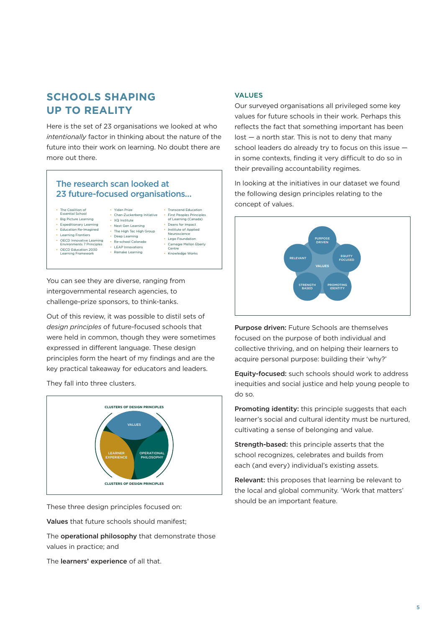# **SCHOOLS SHAPING UP TO REALITY**

Here is the set of 23 organisations we looked at who *intentionally* factor in thinking about the nature of the future into their work on learning. No doubt there are more out there.

#### The research scan looked at 23 future-focused organisations…

• Yidan Prize

• XQ Institute

- The Coalition of
- Essential School • Big Picture Learning
- Expeditionary Learning
- Education Re-Imagined
- Learning Frontiers
	-
- OECD Innovative Learning Environments 7 Principles
- Next Gen Learning • The High Tec High Group • Deep Learning
- 
- OECD Education 2030 Learning Framework
- Re-school Colorado • Institute of Applied Neuroscience

• Chan-Zuckerberg Initiative • First Peoples Principles of Learning (Canada)

- LEAP Innovations • Remake Learning
- Lego Foundation
	- Carnegie Mellon Eberly Centre • Knowledge Works

• Transcend Education • Deans for Impact

You can see they are diverse, ranging from intergovernmental research agencies, to challenge-prize sponsors, to think-tanks.

Out of this review, it was possible to distil sets of *design principles* of future-focused schools that were held in common, though they were sometimes expressed in different language. These design principles form the heart of my findings and are the key practical takeaway for educators and leaders.

They fall into three clusters.



These three design principles focused on:

Values that future schools should manifest;

The operational philosophy that demonstrate those values in practice; and

The learners' experience of all that.

#### VALUES

Our surveyed organisations all privileged some key values for future schools in their work. Perhaps this reflects the fact that something important has been  $lost - a$  north star. This is not to deny that many school leaders do already try to focus on this issue in some contexts, finding it very difficult to do so in their prevailing accountability regimes.

In looking at the initiatives in our dataset we found the following design principles relating to the concept of values.



Purpose driven: Future Schools are themselves focused on the purpose of both individual and collective thriving, and on helping their learners to acquire personal purpose: building their 'why?'

Equity-focused: such schools should work to address inequities and social justice and help young people to do so.

Promoting identity: this principle suggests that each learner's social and cultural identity must be nurtured, cultivating a sense of belonging and value.

Strength-based: this principle asserts that the school recognizes, celebrates and builds from each (and every) individual's existing assets.

Relevant: this proposes that learning be relevant to the local and global community. 'Work that matters' should be an important feature.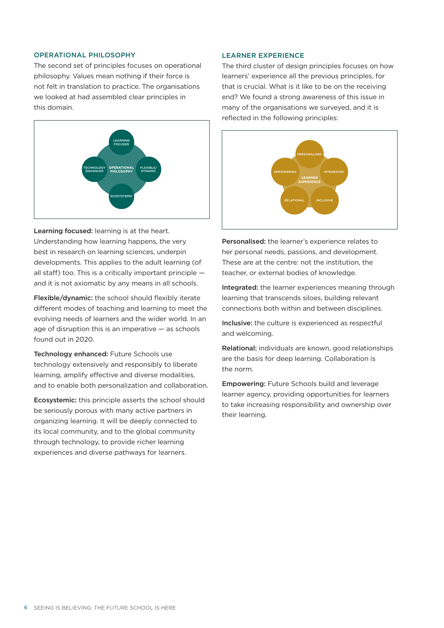#### OPERATIONAL PHILOSOPHY

The second set of principles focuses on operational philosophy. Values mean nothing if their force is not felt in translation to practice. The organisations we looked at had assembled clear principles in this domain.



Learning focused: learning is at the heart. Understanding how learning happens, the very best in research on learning sciences, underpin developments. This applies to the adult learning (of all staff) too. This is a critically important principle and it is not axiomatic by any means in all schools.

Flexible/dynamic: the school should flexibly iterate different modes of teaching and learning to meet the evolving needs of learners and the wider world. In an age of disruption this is an imperative — as schools found out in 2020.

Technology enhanced: Future Schools use technology extensively and responsibly to liberate learning, amplify effective and diverse modalities, and to enable both personalization and collaboration.

Ecosystemic: this principle asserts the school should be seriously porous with many active partners in organizing learning. It will be deeply connected to its local community, and to the global community through technology, to provide richer learning experiences and diverse pathways for learners.

#### LEARNER EXPERIENCE

The third cluster of design principles focuses on how learners' experience all the previous principles, for that is crucial. What is it like to be on the receiving end? We found a strong awareness of this issue in many of the organisations we surveyed, and it is reflected in the following principles:



Personalised: the learner's experience relates to her personal needs, passions, and development. These are at the centre: not the institution, the teacher, or external bodies of knowledge.

Integrated: the learner experiences meaning through learning that transcends siloes, building relevant connections both within and between disciplines.

Inclusive: the culture is experienced as respectful and welcoming.

Relational: individuals are known, good relationships are the basis for deep learning. Collaboration is the norm.

Empowering: Future Schools build and leverage learner agency, providing opportunities for learners to take increasing responsibility and ownership over their learning.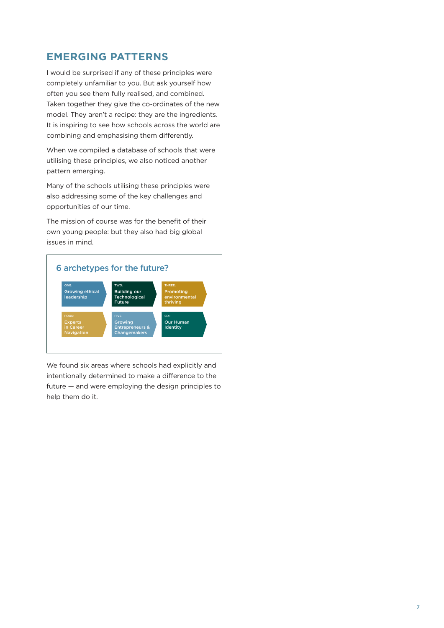# **EMERGING PATTERNS**

I would be surprised if any of these principles were completely unfamiliar to you. But ask yourself how often you see them fully realised, and combined. Taken together they give the co-ordinates of the new model. They aren't a recipe: they are the ingredients. It is inspiring to see how schools across the world are combining and emphasising them differently.

When we compiled a database of schools that were utilising these principles, we also noticed another pattern emerging.

Many of the schools utilising these principles were also addressing some of the key challenges and opportunities of our time.

The mission of course was for the benefit of their own young people: but they also had big global issues in mind.



We found six areas where schools had explicitly and intentionally determined to make a difference to the future — and were employing the design principles to help them do it.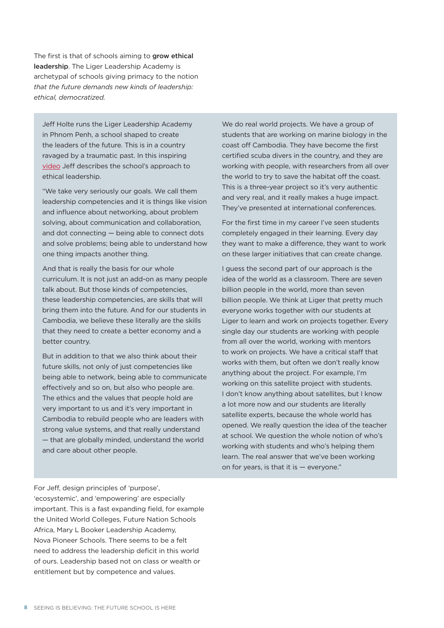The first is that of schools aiming to grow ethical leadership. The Liger Leadership Academy is archetypal of schools giving primacy to the notion *that the future demands new kinds of leadership: ethical, democratized.*

Jeff Holte runs the Liger Leadership Academy in Phnom Penh, a school shaped to create the leaders of the future. This is in a country ravaged by a traumatic past. In this inspiring [video](https://youtu.be/GKJwkwtzqC8) Jeff describes the school's approach to ethical leadership.

"We take very seriously our goals. We call them leadership competencies and it is things like vision and influence about networking, about problem solving, about communication and collaboration, and dot connecting — being able to connect dots and solve problems; being able to understand how one thing impacts another thing.

And that is really the basis for our whole curriculum. It is not just an add-on as many people talk about. But those kinds of competencies, these leadership competencies, are skills that will bring them into the future. And for our students in Cambodia, we believe these literally are the skills that they need to create a better economy and a better country.

But in addition to that we also think about their future skills, not only of just competencies like being able to network, being able to communicate effectively and so on, but also who people are. The ethics and the values that people hold are very important to us and it's very important in Cambodia to rebuild people who are leaders with strong value systems, and that really understand — that are globally minded, understand the world and care about other people.

We do real world projects. We have a group of students that are working on marine biology in the coast off Cambodia. They have become the first certified scuba divers in the country, and they are working with people, with researchers from all over the world to try to save the habitat off the coast. This is a three-year project so it's very authentic and very real, and it really makes a huge impact. They've presented at international conferences.

For the first time in my career I've seen students completely engaged in their learning. Every day they want to make a difference, they want to work on these larger initiatives that can create change.

I guess the second part of our approach is the idea of the world as a classroom. There are seven billion people in the world, more than seven billion people. We think at Liger that pretty much everyone works together with our students at Liger to learn and work on projects together. Every single day our students are working with people from all over the world, working with mentors to work on projects. We have a critical staff that works with them, but often we don't really know anything about the project. For example, I'm working on this satellite project with students. I don't know anything about satellites, but I know a lot more now and our students are literally satellite experts, because the whole world has opened. We really question the idea of the teacher at school. We question the whole notion of who's working with students and who's helping them learn. The real answer that we've been working on for years, is that it is — everyone."

For Jeff, design principles of 'purpose', 'ecosystemic', and 'empowering' are especially important. This is a fast expanding field, for example the United World Colleges, Future Nation Schools Africa, Mary L Booker Leadership Academy, Nova Pioneer Schools. There seems to be a felt need to address the leadership deficit in this world of ours. Leadership based not on class or wealth or entitlement but by competence and values.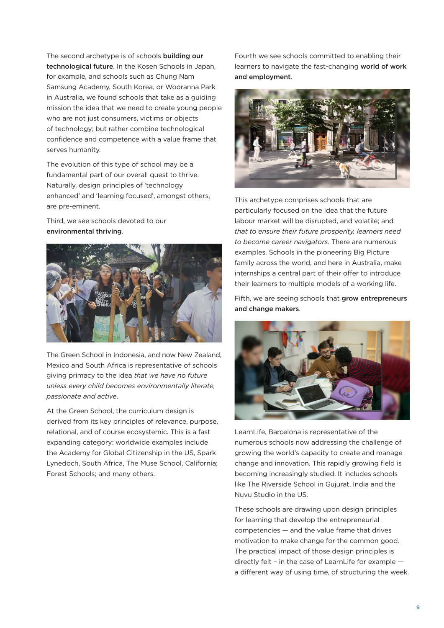The second archetype is of schools building our technological future. In the Kosen Schools in Japan, for example, and schools such as Chung Nam Samsung Academy, South Korea, or Wooranna Park in Australia, we found schools that take as a guiding mission the idea that we need to create young people who are not just consumers, victims or objects of technology; but rather combine technological confidence and competence with a value frame that serves humanity.

The evolution of this type of school may be a fundamental part of our overall quest to thrive. Naturally, design principles of 'technology enhanced' and 'learning focused', amongst others, are pre-eminent.

Third, we see schools devoted to our environmental thriving.



The Green School in Indonesia, and now New Zealand, Mexico and South Africa is representative of schools giving primacy to the idea *that we have no future unless every child becomes environmentally literate, passionate and active*.

At the Green School, the curriculum design is derived from its key principles of relevance, purpose, relational, and of course ecosystemic. This is a fast expanding category: worldwide examples include the Academy for Global Citizenship in the US, Spark Lynedoch, South Africa, The Muse School, California; Forest Schools; and many others.

Fourth we see schools committed to enabling their learners to navigate the fast-changing world of work and employment.



This archetype comprises schools that are particularly focused on the idea that the future labour market will be disrupted, and volatile; and *that to ensure their future prosperity, learners need to become career navigators.* There are numerous examples. Schools in the pioneering Big Picture family across the world, and here in Australia, make internships a central part of their offer to introduce their learners to multiple models of a working life.

Fifth, we are seeing schools that grow entrepreneurs and change makers.



LearnLife, Barcelona is representative of the numerous schools now addressing the challenge of growing the world's capacity to create and manage change and innovation. This rapidly growing field is becoming increasingly studied. It includes schools like The Riverside School in Gujurat, India and the Nuvu Studio in the US.

These schools are drawing upon design principles for learning that develop the entrepreneurial competencies — and the value frame that drives motivation to make change for the common good. The practical impact of those design principles is directly felt – in the case of LearnLife for example a different way of using time, of structuring the week.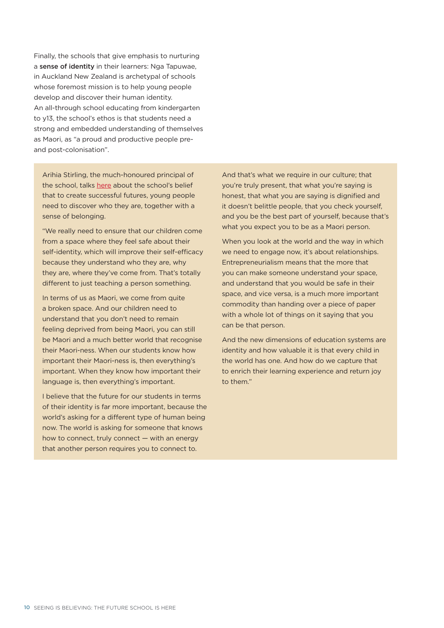Finally, the schools that give emphasis to nurturing a sense of identity in their learners: Nga Tapuwae, in Auckland New Zealand is archetypal of schools whose foremost mission is to help young people develop and discover their human identity. An all-through school educating from kindergarten to y13, the school's ethos is that students need a strong and embedded understanding of themselves as Maori, as "a proud and productive people preand post-colonisation".

Arihia Stirling, the much-honoured principal of the school, talks [here](https://youtu.be/AfHP9wRRKNM) about the school's belief that to create successful futures, young people need to discover who they are, together with a sense of belonging.

"We really need to ensure that our children come from a space where they feel safe about their self-identity, which will improve their self-efficacy because they understand who they are, why they are, where they've come from. That's totally different to just teaching a person something.

In terms of us as Maori, we come from quite a broken space. And our children need to understand that you don't need to remain feeling deprived from being Maori, you can still be Maori and a much better world that recognise their Maori-ness. When our students know how important their Maori-ness is, then everything's important. When they know how important their language is, then everything's important.

I believe that the future for our students in terms of their identity is far more important, because the world's asking for a different type of human being now. The world is asking for someone that knows how to connect, truly connect — with an energy that another person requires you to connect to.

And that's what we require in our culture; that you're truly present, that what you're saying is honest, that what you are saying is dignified and it doesn't belittle people, that you check yourself, and you be the best part of yourself, because that's what you expect you to be as a Maori person.

When you look at the world and the way in which we need to engage now, it's about relationships. Entrepreneurialism means that the more that you can make someone understand your space, and understand that you would be safe in their space, and vice versa, is a much more important commodity than handing over a piece of paper with a whole lot of things on it saying that you can be that person.

And the new dimensions of education systems are identity and how valuable it is that every child in the world has one. And how do we capture that to enrich their learning experience and return joy to them"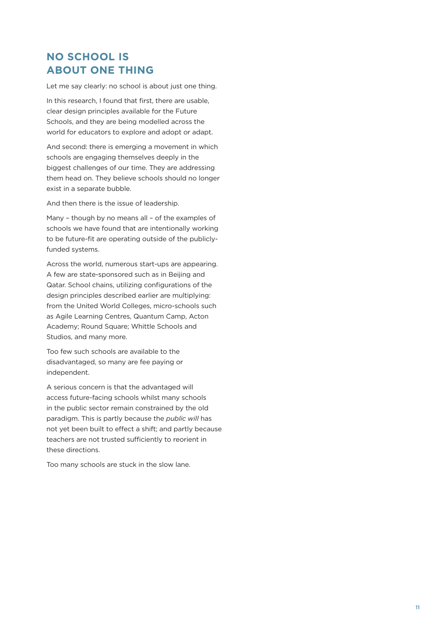# **NO SCHOOL IS ABOUT ONE THING**

Let me say clearly: no school is about just one thing.

In this research, I found that first, there are usable, clear design principles available for the Future Schools, and they are being modelled across the world for educators to explore and adopt or adapt.

And second: there is emerging a movement in which schools are engaging themselves deeply in the biggest challenges of our time. They are addressing them head on. They believe schools should no longer exist in a separate bubble.

And then there is the issue of leadership.

Many – though by no means all – of the examples of schools we have found that are intentionally working to be future-fit are operating outside of the publiclyfunded systems.

Across the world, numerous start-ups are appearing. A few are state-sponsored such as in Beijing and Qatar. School chains, utilizing configurations of the design principles described earlier are multiplying: from the United World Colleges, micro-schools such as Agile Learning Centres, Quantum Camp, Acton Academy; Round Square; Whittle Schools and Studios, and many more.

Too few such schools are available to the disadvantaged, so many are fee paying or independent.

A serious concern is that the advantaged will access future-facing schools whilst many schools in the public sector remain constrained by the old paradigm. This is partly because the *public will* has not yet been built to effect a shift; and partly because teachers are not trusted sufficiently to reorient in these directions.

Too many schools are stuck in the slow lane.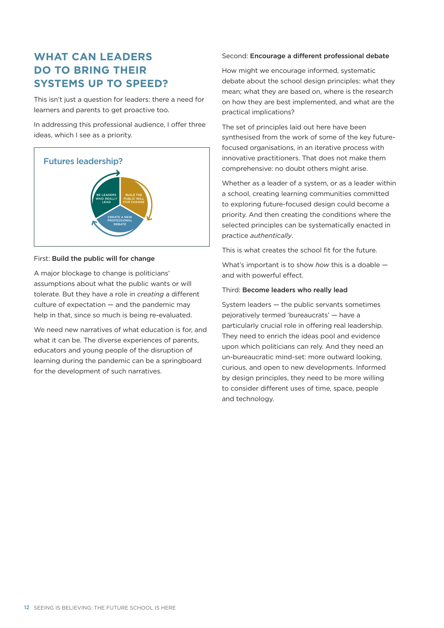# **WHAT CAN LEADERS DO TO BRING THEIR SYSTEMS UP TO SPEED?**

This isn't just a question for leaders: there a need for learners and parents to get proactive too.

In addressing this professional audience, I offer three ideas, which I see as a priority.



#### First: Build the public will for change

A major blockage to change is politicians' assumptions about what the public wants or will tolerate. But they have a role in *creating* a different culture of expectation — and the pandemic may help in that, since so much is being re-evaluated.

We need new narratives of what education is for, and what it can be. The diverse experiences of parents, educators and young people of the disruption of learning during the pandemic can be a springboard for the development of such narratives.

#### Second: Encourage a different professional debate

How might we encourage informed, systematic debate about the school design principles: what they mean; what they are based on, where is the research on how they are best implemented, and what are the practical implications?

The set of principles laid out here have been synthesised from the work of some of the key futurefocused organisations, in an iterative process with innovative practitioners. That does not make them comprehensive: no doubt others might arise.

Whether as a leader of a system, or as a leader within a school, creating learning communities committed to exploring future-focused design could become a priority. And then creating the conditions where the selected principles can be systematically enacted in practice *authentically*.

This is what creates the school fit for the future.

What's important is to show *how* this is a doable and with powerful effect.

#### Third: Become leaders who really lead

System leaders — the public servants sometimes pejoratively termed 'bureaucrats' — have a particularly crucial role in offering real leadership. They need to enrich the ideas pool and evidence upon which politicians can rely. And they need an un-bureaucratic mind-set: more outward looking, curious, and open to new developments. Informed by design principles, they need to be more willing to consider different uses of time, space, people and technology.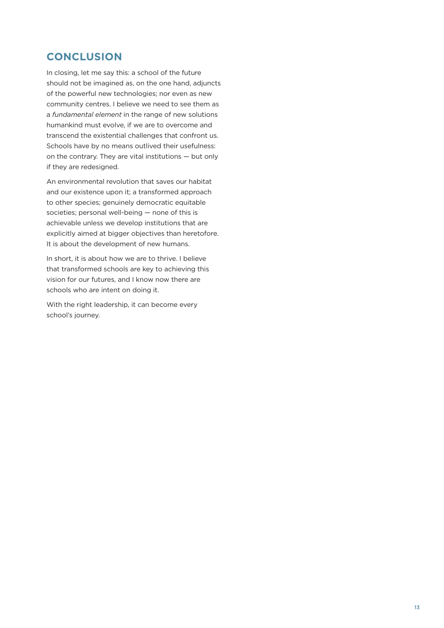# **CONCLUSION**

In closing, let me say this: a school of the future should not be imagined as, on the one hand, adjuncts of the powerful new technologies; nor even as new community centres. I believe we need to see them as a *fundamental element* in the range of new solutions humankind must evolve, if we are to overcome and transcend the existential challenges that confront us. Schools have by no means outlived their usefulness: on the contrary. They are vital institutions — but only if they are redesigned.

An environmental revolution that saves our habitat and our existence upon it; a transformed approach to other species; genuinely democratic equitable societies; personal well-being — none of this is achievable unless we develop institutions that are explicitly aimed at bigger objectives than heretofore. It is about the development of new humans.

In short, it is about how we are to thrive. I believe that transformed schools are key to achieving this vision for our futures, and I know now there are schools who are intent on doing it.

With the right leadership, it can become every school's journey.